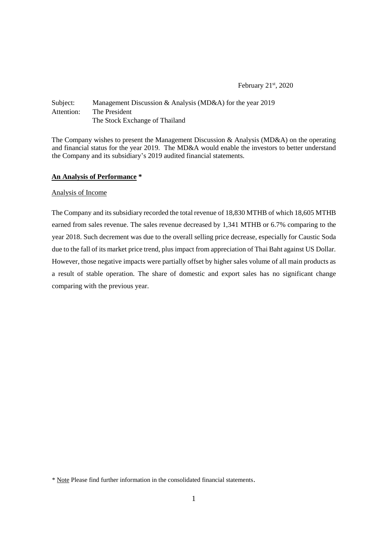# Subject: Management Discussion & Analysis (MD&A) for the year 2019 Attention: The President The Stock Exchange of Thailand

The Company wishes to present the Management Discussion & Analysis (MD&A) on the operating and financial status for the year 2019. The MD&A would enable the investors to better understand the Company and its subsidiary's 2019 audited financial statements.

### **An Analysis of Performance \***

#### Analysis of Income

The Company and its subsidiary recorded the total revenue of 18,830 MTHB of which 18,605 MTHB earned from sales revenue. The sales revenue decreased by 1,341 MTHB or 6.7% comparing to the year 2018. Such decrement was due to the overall selling price decrease, especially for Caustic Soda due to the fall of its market price trend, plus impact from appreciation of Thai Baht against US Dollar. However, those negative impacts were partially offset by higher sales volume of all main products as a result of stable operation. The share of domestic and export sales has no significant change comparing with the previous year.

<sup>\*</sup> Note Please find further information in the consolidated financial statements.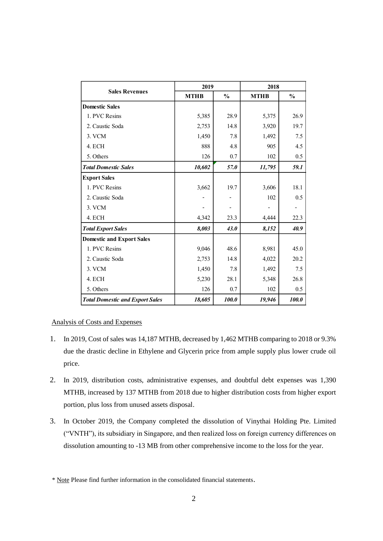|                                        | 2019        |               | 2018        |               |
|----------------------------------------|-------------|---------------|-------------|---------------|
| <b>Sales Revenues</b>                  | <b>MTHB</b> | $\frac{0}{0}$ | <b>MTHB</b> | $\frac{0}{0}$ |
| <b>Domestic Sales</b>                  |             |               |             |               |
| 1. PVC Resins                          | 5,385       | 28.9          | 5,375       | 26.9          |
| 2. Caustic Soda                        | 2,753       | 14.8          | 3,920       | 19.7          |
| 3. VCM                                 | 1,450       | 7.8           | 1,492       | 7.5           |
| 4. ECH                                 | 888         | 4.8           | 905         | 4.5           |
| 5. Others                              | 126         | 0.7           | 102         | 0.5           |
| <b>Total Domestic Sales</b>            | 10,602      | 57.0          | 11,795      | 59.1          |
| <b>Export Sales</b>                    |             |               |             |               |
| 1. PVC Resins                          | 3,662       | 19.7          | 3,606       | 18.1          |
| 2. Caustic Soda                        |             |               | 102         | 0.5           |
| 3. VCM                                 |             |               |             |               |
| 4. ECH                                 | 4,342       | 23.3          | 4,444       | 22.3          |
| <b>Total Export Sales</b>              | 8,003       | 43.0          | 8,152       | 40.9          |
| <b>Domestic and Export Sales</b>       |             |               |             |               |
| 1. PVC Resins                          | 9,046       | 48.6          | 8,981       | 45.0          |
| 2. Caustic Soda                        | 2,753       | 14.8          | 4,022       | 20.2          |
| 3. VCM                                 | 1,450       | 7.8           | 1,492       | 7.5           |
| 4. ECH                                 | 5,230       | 28.1          | 5,348       | 26.8          |
| 5. Others                              | 126         | 0.7           | 102         | 0.5           |
| <b>Total Domestic and Export Sales</b> | 18,605      | 100.0         | 19,946      | 100.0         |

## Analysis of Costs and Expenses

- 1. In 2019, Cost of sales was 14,187 MTHB, decreased by 1,462 MTHB comparing to 2018 or 9.3% due the drastic decline in Ethylene and Glycerin price from ample supply plus lower crude oil price.
- 2. In 2019, distribution costs, administrative expenses, and doubtful debt expenses was 1,390 MTHB, increased by 137 MTHB from 2018 due to higher distribution costs from higher export portion, plus loss from unused assets disposal.
- 3. In October 2019, the Company completed the dissolution of Vinythai Holding Pte. Limited ("VNTH"), its subsidiary in Singapore, and then realized loss on foreign currency differences on dissolution amounting to -13 MB from other comprehensive income to the loss for the year.

<sup>\*</sup> Note Please find further information in the consolidated financial statements.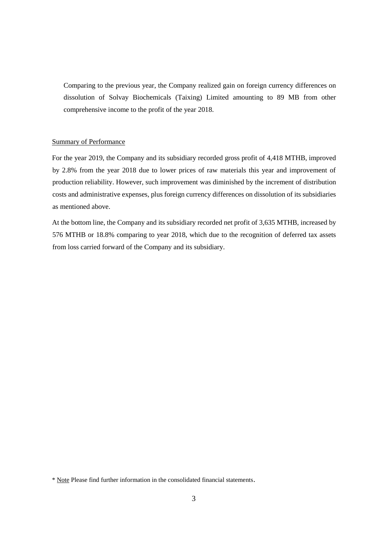Comparing to the previous year, the Company realized gain on foreign currency differences on dissolution of Solvay Biochemicals (Taixing) Limited amounting to 89 MB from other comprehensive income to the profit of the year 2018.

## Summary of Performance

For the year 2019, the Company and its subsidiary recorded gross profit of 4,418 MTHB, improved by 2.8% from the year 2018 due to lower prices of raw materials this year and improvement of production reliability. However, such improvement was diminished by the increment of distribution costs and administrative expenses, plus foreign currency differences on dissolution of its subsidiaries as mentioned above.

At the bottom line, the Company and its subsidiary recorded net profit of 3,635 MTHB, increased by 576 MTHB or 18.8% comparing to year 2018, which due to the recognition of deferred tax assets from loss carried forward of the Company and its subsidiary.

<sup>\*</sup> Note Please find further information in the consolidated financial statements.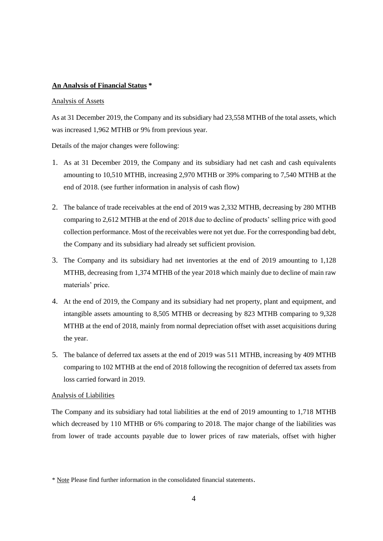#### **An Analysis of Financial Status \***

#### Analysis of Assets

As at 31 December 2019, the Company and its subsidiary had 23,558 MTHB of the total assets, which was increased 1,962 MTHB or 9% from previous year.

Details of the major changes were following:

- 1. As at 31 December 2019, the Company and its subsidiary had net cash and cash equivalents amounting to 10,510 MTHB, increasing 2,970 MTHB or 39% comparing to 7,540 MTHB at the end of 2018. (see further information in analysis of cash flow)
- 2. The balance of trade receivables at the end of 2019 was 2,332 MTHB, decreasing by 280 MTHB comparing to 2,612 MTHB at the end of 2018 due to decline of products' selling price with good collection performance. Most of the receivables were not yet due. For the corresponding bad debt, the Company and its subsidiary had already set sufficient provision.
- 3. The Company and its subsidiary had net inventories at the end of 2019 amounting to 1,128 MTHB, decreasing from 1,374 MTHB of the year 2018 which mainly due to decline of main raw materials' price.
- 4. At the end of 2019, the Company and its subsidiary had net property, plant and equipment, and intangible assets amounting to 8,505 MTHB or decreasing by 823 MTHB comparing to 9,328 MTHB at the end of 2018, mainly from normal depreciation offset with asset acquisitions during the year.
- 5. The balance of deferred tax assets at the end of 2019 was 511 MTHB, increasing by 409 MTHB comparing to 102 MTHB at the end of 2018 following the recognition of deferred tax assets from loss carried forward in 2019.

#### Analysis of Liabilities

The Company and its subsidiary had total liabilities at the end of 2019 amounting to 1,718 MTHB which decreased by 110 MTHB or 6% comparing to 2018. The major change of the liabilities was from lower of trade accounts payable due to lower prices of raw materials, offset with higher

<sup>\*</sup> Note Please find further information in the consolidated financial statements.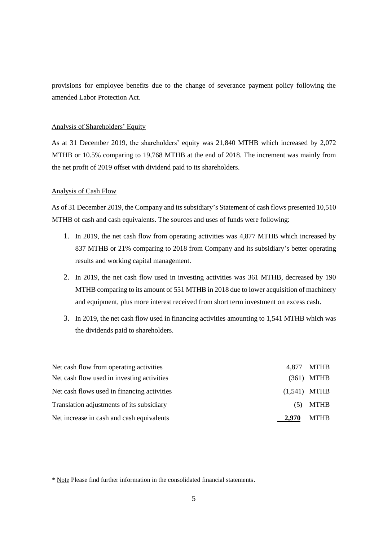provisions for employee benefits due to the change of severance payment policy following the amended Labor Protection Act.

### Analysis of Shareholders' Equity

As at 31 December 2019, the shareholders' equity was 21,840 MTHB which increased by 2,072 MTHB or 10.5% comparing to 19,768 MTHB at the end of 2018. The increment was mainly from the net profit of 2019 offset with dividend paid to its shareholders.

#### Analysis of Cash Flow

As of 31 December 2019, the Company and its subsidiary's Statement of cash flows presented 10,510 MTHB of cash and cash equivalents. The sources and uses of funds were following:

- 1. In 2019, the net cash flow from operating activities was 4,877 MTHB which increased by 837 MTHB or 21% comparing to 2018 from Company and its subsidiary's better operating results and working capital management.
- 2. In 2019, the net cash flow used in investing activities was 361 MTHB, decreased by 190 MTHB comparing to its amount of 551 MTHB in 2018 due to lower acquisition of machinery and equipment, plus more interest received from short term investment on excess cash.
- 3. In 2019, the net cash flow used in financing activities amounting to 1,541 MTHB which was the dividends paid to shareholders.

| Net cash flow from operating activities     |                | 4,877 MTHB   |
|---------------------------------------------|----------------|--------------|
| Net cash flow used in investing activities  |                | $(361)$ MTHB |
| Net cash flows used in financing activities | $(1,541)$ MTHB |              |
| Translation adjustments of its subsidiary   | (5)            | MTHB         |
| Net increase in cash and cash equivalents   | 2.970          | <b>MTHB</b>  |

\* Note Please find further information in the consolidated financial statements.